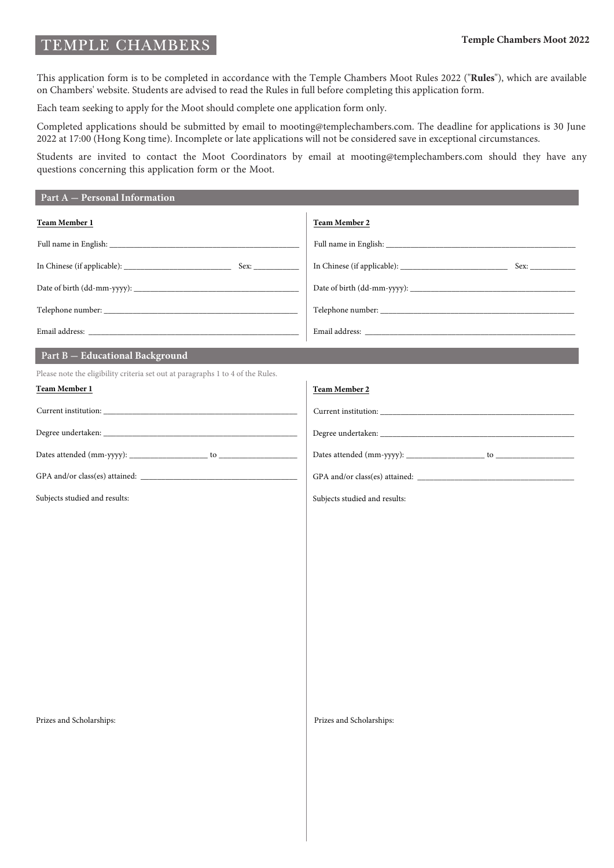#### **Temple Chambers Moot 2022**

# TEMPLE CHAMBERS

This application form is to be completed in accordance with the Temple Chambers Moot Rules 2022 ("**Rules**"), which are available on Chambers' website. Students are advised to read the Rules in full before completing this application form.

Each team seeking to apply for the Moot should complete one application form only.

Completed applications should be submitted by email to mooting@templechambers.com. The deadline for applications is 30 June 2022 at 17:00 (Hong Kong time). Incomplete or late applications will not be considered save in exceptional circumstances.

Students are invited to contact the Moot Coordinators by email at mooting@templechambers.com should they have any questions concerning this application form or the Moot.

| Part $A$ – Personal Information                                                                                                                                                                                                                                                                                                                                                                                                                                                                                                       |                               |
|---------------------------------------------------------------------------------------------------------------------------------------------------------------------------------------------------------------------------------------------------------------------------------------------------------------------------------------------------------------------------------------------------------------------------------------------------------------------------------------------------------------------------------------|-------------------------------|
| Team Member 1                                                                                                                                                                                                                                                                                                                                                                                                                                                                                                                         | Team Member 2                 |
| $\label{eq:full} \mbox{Full name in English:}\underbrace{\qquad \qquad \qquad \qquad ~~\qquad \qquad ~~\qquad \qquad ~~\qquad \qquad ~~\qquad \qquad ~~\qquad \qquad ~~\qquad \qquad ~~\qquad \qquad ~~\qquad \qquad ~~\qquad \qquad ~~\qquad \qquad ~~\qquad \qquad ~~\qquad \qquad ~~\qquad \qquad ~~\qquad \qquad ~~\qquad \qquad ~~\qquad \qquad ~~\qquad \qquad ~~\qquad \qquad ~~\qquad \qquad ~~\qquad \qquad ~~\qquad \qquad ~~\qquad \qquad ~~\qquad \qquad ~~\qquad \qquad ~~\qquad \qquad ~~\qquad \qquad ~~\qquad \qquad$ |                               |
|                                                                                                                                                                                                                                                                                                                                                                                                                                                                                                                                       |                               |
|                                                                                                                                                                                                                                                                                                                                                                                                                                                                                                                                       |                               |
|                                                                                                                                                                                                                                                                                                                                                                                                                                                                                                                                       |                               |
|                                                                                                                                                                                                                                                                                                                                                                                                                                                                                                                                       |                               |
| Part B - Educational Background                                                                                                                                                                                                                                                                                                                                                                                                                                                                                                       |                               |
| Please note the eligibility criteria set out at paragraphs 1 to 4 of the Rules.                                                                                                                                                                                                                                                                                                                                                                                                                                                       |                               |
| <b>Team Member 1</b>                                                                                                                                                                                                                                                                                                                                                                                                                                                                                                                  | <b>Team Member 2</b>          |
|                                                                                                                                                                                                                                                                                                                                                                                                                                                                                                                                       |                               |
|                                                                                                                                                                                                                                                                                                                                                                                                                                                                                                                                       |                               |
|                                                                                                                                                                                                                                                                                                                                                                                                                                                                                                                                       |                               |
|                                                                                                                                                                                                                                                                                                                                                                                                                                                                                                                                       |                               |
| Subjects studied and results:                                                                                                                                                                                                                                                                                                                                                                                                                                                                                                         | Subjects studied and results: |
|                                                                                                                                                                                                                                                                                                                                                                                                                                                                                                                                       |                               |
|                                                                                                                                                                                                                                                                                                                                                                                                                                                                                                                                       |                               |
|                                                                                                                                                                                                                                                                                                                                                                                                                                                                                                                                       |                               |
|                                                                                                                                                                                                                                                                                                                                                                                                                                                                                                                                       |                               |
|                                                                                                                                                                                                                                                                                                                                                                                                                                                                                                                                       |                               |
|                                                                                                                                                                                                                                                                                                                                                                                                                                                                                                                                       |                               |
|                                                                                                                                                                                                                                                                                                                                                                                                                                                                                                                                       |                               |
|                                                                                                                                                                                                                                                                                                                                                                                                                                                                                                                                       |                               |
|                                                                                                                                                                                                                                                                                                                                                                                                                                                                                                                                       |                               |
|                                                                                                                                                                                                                                                                                                                                                                                                                                                                                                                                       |                               |
|                                                                                                                                                                                                                                                                                                                                                                                                                                                                                                                                       |                               |
| Prizes and Scholarships:                                                                                                                                                                                                                                                                                                                                                                                                                                                                                                              | Prizes and Scholarships:      |
|                                                                                                                                                                                                                                                                                                                                                                                                                                                                                                                                       |                               |
|                                                                                                                                                                                                                                                                                                                                                                                                                                                                                                                                       |                               |
|                                                                                                                                                                                                                                                                                                                                                                                                                                                                                                                                       |                               |